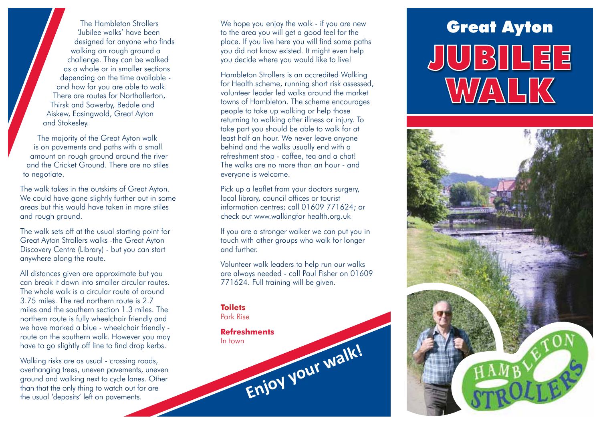'Jubilee walks' have been designed for anyone who finds walking on rough ground a challenge. They can be walked as a whole or in smaller sections depending on the time available and how far you are able to walk. There are routes for Northallerton, Thirsk and Sowerby, Bedale and Aiskew, Easingwold, Great Ayton and Stokesley.

The majority of the Great Ayton walk is on pavements and paths with a small amount on rough ground around the river and the Cricket Ground. There are no stiles to negotiate.

The walk takes in the outskirts of Great Ayton. We could have gone slightly further out in some areas but this would have taken in more stiles and rough ground.

The walk sets off at the usual starting point for Great Ayton Strollers walks -the Great Ayton Discovery Centre (Library) - but you can start anywhere along the route.

All distances given are approximate but you can break it down into smaller circular routes. The whole walk is a circular route of around 3.75 miles. The red northern route is 2.7 miles and the southern section 1.3 miles. The northern route is fully wheelchair friendly and we have marked a blue - wheelchair friendly route on the southern walk. However you may have to go slightly off line to find drop kerbs.

Walking risks are as usual - crossing roads, overhanging trees, uneven pavements, uneven ground and walking next to cycle lanes. Other than that the only thing to watch out for are the usual 'deposits' left on pavements.

The Hambleton Strollers We hope you enjoy the walk - if you are new<br>Jubilee walks' have been to the great you will get a good feel for the We hope you enjoy the walk - if you are new to the area you will get a good feel for the place. If you live here you will find some paths you did not know existed. It might even help you decide where you would like to live!

> Hambleton Strollers is an accredited Walking for Health scheme, running short risk assessed, volunteer leader led walks around the market towns of Hambleton. The scheme encourages people to take up walking or help those returning to walking after illness or injury. To take part you should be able to walk for at least half an hour. We never leave anyone behind and the walks usually end with a refreshment stop - coffee, tea and a chat! The walks are no more than an hour - and everyone is welcome.

Pick up a leaflet from your doctors surgery, local library, council offices or tourist information centres; call 01609 771624; or check out www.walkingfor health.org.uk

If you are a stronger walker we can put you in touch with other groups who walk for longer and further.

Volunteer walk leaders to help run our walks are always needed - call Paul Fisher on 01609 771624. Full training will be given.

## **Toilets**

Park Rise

## **Refreshments** In town Enjoy your walk!

JUBILEE WALK